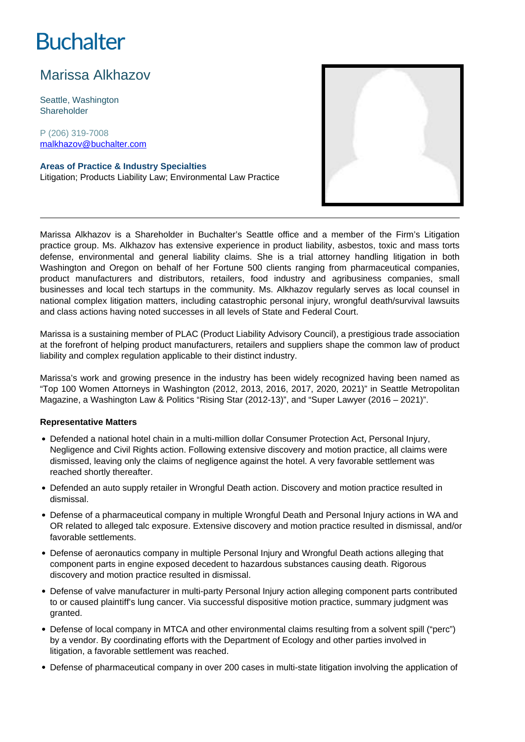# **Buchalter**

# Marissa Alkhazov

Seattle, Washington **Shareholder** 

P (206) 319-7008 malkhazov@buchalter.com

### **Areas of Practice & Industry Specialties**

Litigation; Products Liability Law; Environmental Law Practice



Marissa Alkhazov is a Shareholder in Buchalter's Seattle office and a member of the Firm's Litigation practice group. Ms. Alkhazov has extensive experience in product liability, asbestos, toxic and mass torts defense, environmental and general liability claims. She is a trial attorney handling litigation in both Washington and Oregon on behalf of her Fortune 500 clients ranging from pharmaceutical companies, product manufacturers and distributors, retailers, food industry and agribusiness companies, small businesses and local tech startups in the community. Ms. Alkhazov regularly serves as local counsel in national complex litigation matters, including catastrophic personal injury, wrongful death/survival lawsuits and class actions having noted successes in all levels of State and Federal Court.

Marissa is a sustaining member of PLAC (Product Liability Advisory Council), a prestigious trade association at the forefront of helping product manufacturers, retailers and suppliers shape the common law of product liability and complex regulation applicable to their distinct industry.

Marissa's work and growing presence in the industry has been widely recognized having been named as "Top 100 Women Attorneys in Washington (2012, 2013, 2016, 2017, 2020, 2021)" in Seattle Metropolitan Magazine, a Washington Law & Politics "Rising Star (2012-13)", and "Super Lawyer (2016 – 2021)".

# **Representative Matters**

- Defended a national hotel chain in a multi-million dollar Consumer Protection Act, Personal Injury, Negligence and Civil Rights action. Following extensive discovery and motion practice, all claims were dismissed, leaving only the claims of negligence against the hotel. A very favorable settlement was reached shortly thereafter.
- Defended an auto supply retailer in Wrongful Death action. Discovery and motion practice resulted in dismissal.
- Defense of a pharmaceutical company in multiple Wrongful Death and Personal Injury actions in WA and OR related to alleged talc exposure. Extensive discovery and motion practice resulted in dismissal, and/or favorable settlements.
- Defense of aeronautics company in multiple Personal Injury and Wrongful Death actions alleging that component parts in engine exposed decedent to hazardous substances causing death. Rigorous discovery and motion practice resulted in dismissal.
- Defense of valve manufacturer in multi-party Personal Injury action alleging component parts contributed to or caused plaintiff's lung cancer. Via successful dispositive motion practice, summary judgment was granted.
- Defense of local company in MTCA and other environmental claims resulting from a solvent spill ("perc") by a vendor. By coordinating efforts with the Department of Ecology and other parties involved in litigation, a favorable settlement was reached.
- Defense of pharmaceutical company in over 200 cases in multi-state litigation involving the application of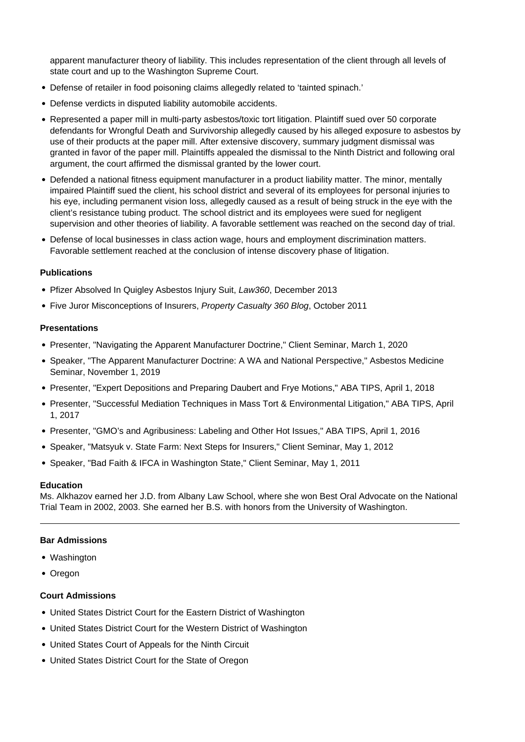apparent manufacturer theory of liability. This includes representation of the client through all levels of state court and up to the Washington Supreme Court.

- Defense of retailer in food poisoning claims allegedly related to 'tainted spinach.'
- Defense verdicts in disputed liability automobile accidents.
- Represented a paper mill in multi-party asbestos/toxic tort litigation. Plaintiff sued over 50 corporate defendants for Wrongful Death and Survivorship allegedly caused by his alleged exposure to asbestos by use of their products at the paper mill. After extensive discovery, summary judgment dismissal was granted in favor of the paper mill. Plaintiffs appealed the dismissal to the Ninth District and following oral argument, the court affirmed the dismissal granted by the lower court.
- Defended a national fitness equipment manufacturer in a product liability matter. The minor, mentally impaired Plaintiff sued the client, his school district and several of its employees for personal injuries to his eye, including permanent vision loss, allegedly caused as a result of being struck in the eye with the client's resistance tubing product. The school district and its employees were sued for negligent supervision and other theories of liability. A favorable settlement was reached on the second day of trial.
- Defense of local businesses in class action wage, hours and employment discrimination matters. Favorable settlement reached at the conclusion of intense discovery phase of litigation.

#### **Publications**

- Pfizer Absolved In Quigley Asbestos Injury Suit, Law360, December 2013
- Five Juror Misconceptions of Insurers, Property Casualty 360 Blog, October 2011

#### **Presentations**

- Presenter, "Navigating the Apparent Manufacturer Doctrine," Client Seminar, March 1, 2020
- Speaker, "The Apparent Manufacturer Doctrine: A WA and National Perspective," Asbestos Medicine Seminar, November 1, 2019
- Presenter, "Expert Depositions and Preparing Daubert and Frye Motions," ABA TIPS, April 1, 2018
- Presenter, "Successful Mediation Techniques in Mass Tort & Environmental Litigation," ABA TIPS, April 1, 2017
- Presenter, "GMO's and Agribusiness: Labeling and Other Hot Issues," ABA TIPS, April 1, 2016
- Speaker, "Matsyuk v. State Farm: Next Steps for Insurers," Client Seminar, May 1, 2012
- Speaker, "Bad Faith & IFCA in Washington State," Client Seminar, May 1, 2011

#### **Education**

Ms. Alkhazov earned her J.D. from Albany Law School, where she won Best Oral Advocate on the National Trial Team in 2002, 2003. She earned her B.S. with honors from the University of Washington.

# **Bar Admissions**

- Washington
- Oregon

# **Court Admissions**

- United States District Court for the Eastern District of Washington
- United States District Court for the Western District of Washington
- United States Court of Appeals for the Ninth Circuit
- United States District Court for the State of Oregon